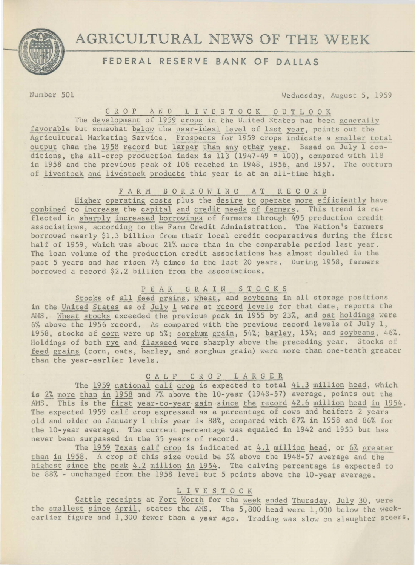

# **AGRICULTURAL** NEWS **OF THE WEEK**

## **FEDERAL RESERVE BANK OF DALLAS**

Number 501 Wednesday, August 5, 1959

C R O P A N D L I V E S T O C K O U T L O O K

The development of 1959 crops in the United States has been generally favorable but somewhat below the near-ideal level of last year, points out the Agricultural Marketing Service. Prospects for 1959 crops indicate a smaller total output than the 1958 record but larger than any other year. Based on July 1 conditions, the all-crop production index is 113 (1947-49 = 100), compared with 118 in 1958 and the previous peak of 106 reached in 1948, 1956, and 1957. The outturn of livestock and livestock products this year is at an all-time high.

### F A R M B O R R O W I N G A T R E C O R D

Higher operating costs plus the desire to operate more efficiently have combined to increase the capital and credit needs of farmers. This trend is reflected in sharply increased borrowings of farmers through 495 production credit associations, according to the Farm Credit Administration. The Nation's farmers borrowed nearly \$1.3 billion from their local credit cooperatives during the first half of 1959, which was about 21% more than in the comparable period last year. The loan volume of the production credit associations has almost doubled in the past 5 years and has risen  $7\frac{1}{2}$  times in the last 20 years. During 1958, farmers borrowed a record \$2.2 billion from the associations.

#### P E A K G R A I N S T O C K S

Stocks of all feed grains, wheat, and soybeans in all storage positions in the United States as of July l were at record levels for that date, reports the AMS. Wheat stocks exceeded the previous peak in 1955 by 23%, and oat holdings were 6% above the 1956 record. As compared with the previous record levels of July 1, 1958, stocks of corn were up 5%; sorghum grain, 54%; barley, 15%; and soybeans, 46%. Holdings of both rye and flaxseed were sharply above the preceding year. Stocks of feed grains (corn, oats, barley, and sorghum grain) were more than one-tenth greater than the year-earlier levels.

#### C A L F C R 0 P L A R G E R

The 1959 national calf crop is expected to total 41.3 million head, which is 2% more than in 1958 and 7% above the 10-year (1948-57) average, points out the AMS. This is the first year-to-year gain since the record 42.6 million head in 1954. The expected 1959 calf crop expressed as a percentage of cows and heifers 2 years old and older on January 1 this year is 88%, compared with 87% in 1958 and 86% for the 10-year average. The current percentage was equaled in 1942 and 1953 but has never been surpassed in the 35 years of record.

The 1959 Texas calf crop is indicated at 4.1 million head, or 6% greater than in 1958. A crop of this size would be 5% above the 1948-57 average and the highest since the peak 4.2 million in 1954. The calving percentage is expected to be 88% - unchanged from the 1958 level but 5 points above the 10-year average.

#### L I V E S T 0 C K

Cattle receipts at Fort Worth for the week ended Thursday, July 30, were the smallest since April, states the AMS. The 5,800 head were 1,000 below the weekearlier figure and 1,300 fewer than a year ago. Trading was slow on slaughter steers,